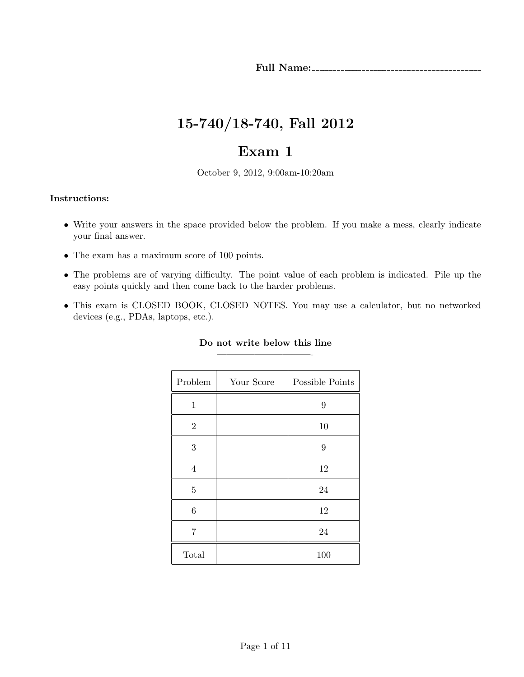# 15-740/18-740, Fall 2012

# Exam 1

October 9, 2012, 9:00am-10:20am

### Instructions:

- Write your answers in the space provided below the problem. If you make a mess, clearly indicate your final answer.
- The exam has a maximum score of 100 points.
- The problems are of varying difficulty. The point value of each problem is indicated. Pile up the easy points quickly and then come back to the harder problems.
- This exam is CLOSED BOOK, CLOSED NOTES. You may use a calculator, but no networked devices (e.g., PDAs, laptops, etc.).

| Problem        | Your Score | Possible Points |
|----------------|------------|-----------------|
| $\mathbf 1$    |            | 9               |
| $\overline{2}$ |            | 10              |
| 3              |            | 9               |
| $\overline{4}$ |            | 12              |
| $\overline{5}$ |            | 24              |
| 6              |            | 12              |
| 7              |            | 24              |
| Total          |            | 100             |

## Do not write below this line ——————————-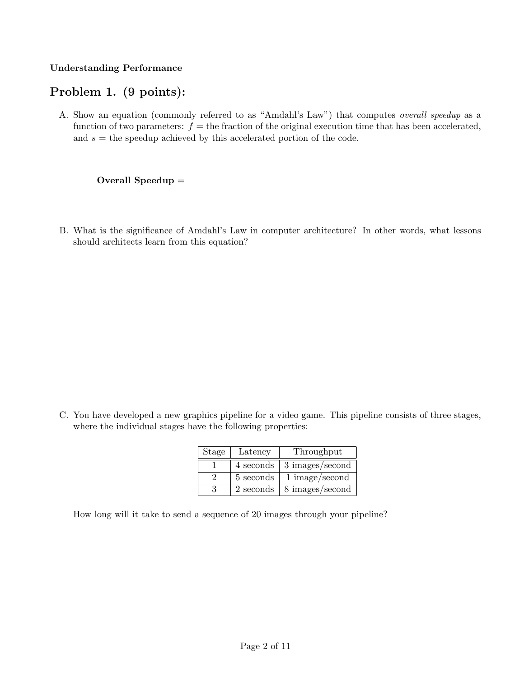### Understanding Performance

# Problem 1. (9 points):

A. Show an equation (commonly referred to as "Amdahl's Law") that computes overall speedup as a function of two parameters:  $f =$  the fraction of the original execution time that has been accelerated, and  $s =$  the speedup achieved by this accelerated portion of the code.

### Overall Speedup =

B. What is the significance of Amdahl's Law in computer architecture? In other words, what lessons should architects learn from this equation?

C. You have developed a new graphics pipeline for a video game. This pipeline consists of three stages, where the individual stages have the following properties:

| Stage | Latency   | Throughput      |
|-------|-----------|-----------------|
|       | 4 seconds | 3 images/second |
|       | 5 seconds | 1 image/second  |
|       | 2 seconds | 8 images/second |

How long will it take to send a sequence of 20 images through your pipeline?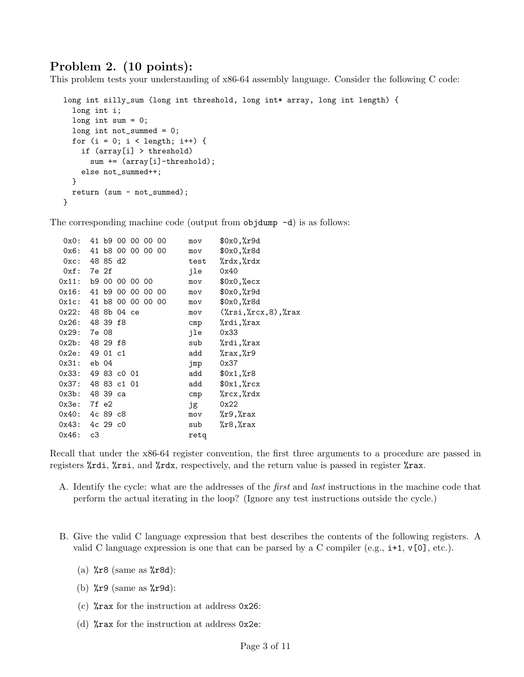# Problem 2. (10 points):

This problem tests your understanding of x86-64 assembly language. Consider the following C code:

```
long int silly_sum (long int threshold, long int* array, long int length) {
  long int i;
  long int sum = 0;
  long int not_summed = 0;
  for (i = 0; i < length; i++) {
    if (array[i] > threshold)
      sum += (\text{array}[i]-\text{threshold});
    else not_summed++;
  }
  return (sum - not_summed);
}
```
The corresponding machine code (output from  $objdump -d$ ) is as follows:

| $0x0$ :                |                |  | 41 69 00 00 00 00 | mov  | \$0x0,%r9d                         |
|------------------------|----------------|--|-------------------|------|------------------------------------|
| 0x6: 41 b8 00 00 00 00 |                |  |                   | mov  | $0x0,$ $x8d$                       |
| 0xc: 4885 d2           |                |  |                   | test | %rdx,%rdx                          |
| 0xf:                   | 7e 2f          |  |                   | ile  | 0x40                               |
| 0x11:                  | b9 00 00 00 00 |  |                   | mov  | $0x0, %$ ecx                       |
| 0x16:                  | 41 b9 00 00    |  | 00 00             | mov  | $0x0,$ $x9d$                       |
| Ox1c:                  | 41             |  | b8 00 00 00 00    | mov  | $0x0,$ $x8d$                       |
| 0x22: 48 8b 04 ce      |                |  |                   | mov  | $(\%rsi, \%rcx, 8), \%rax$         |
| 0x26: 48 39 f8         |                |  |                   | cmp  | %rdi,%rax                          |
| 0x29:                  | 7e 08          |  |                   | jle  | 0x33                               |
| 0x2b:                  | 48 29 f8       |  |                   | sub  | %rdi,%rax                          |
| 0x2e:                  | 49 O1 c1       |  |                   | add  | %rax,%r9                           |
| 0x31:                  | eb 04          |  |                   | jmp  | 0x37                               |
| 0x33:                  | 49 83 cO 01    |  |                   | add  | $0x1,$ $x8$                        |
| 0x37:                  | 48 83 c1 01    |  |                   | add  | $\frac{1}{20x1}$ , $\frac{1}{2}rx$ |
| 0x3b:                  | 48 39 ca       |  |                   | cmp  | $\chi$ rcx, $\chi$ rdx             |
| 0x3e:                  | 7f e2          |  |                   | jg   | 0x22                               |
| 0x40: 4c 89 c8         |                |  |                   | mov  | $\chi$ r $9, \chi$ rax             |
| 0x43:                  | 4c 29 c0       |  |                   | sub  | %r8,%rax                           |
| 0x46:                  | c3             |  |                   | retq |                                    |

Recall that under the x86-64 register convention, the first three arguments to a procedure are passed in registers %rdi, %rsi, and %rdx, respectively, and the return value is passed in register %rax.

- A. Identify the cycle: what are the addresses of the *first* and *last* instructions in the machine code that perform the actual iterating in the loop? (Ignore any test instructions outside the cycle.)
- B. Give the valid C language expression that best describes the contents of the following registers. A valid C language expression is one that can be parsed by a C compiler (e.g.,  $\mathbf{i}+1$ ,  $\mathbf{v}[\mathbf{0}]$ , etc.).
	- (a)  $\sqrt[n]{r}8$  (same as  $\sqrt[n]{r}8d$ ):
	- (b)  $\sqrt{k}r9$  (same as  $\sqrt{k}r9d$ ):
	- (c) %rax for the instruction at address 0x26:
	- (d) %rax for the instruction at address 0x2e: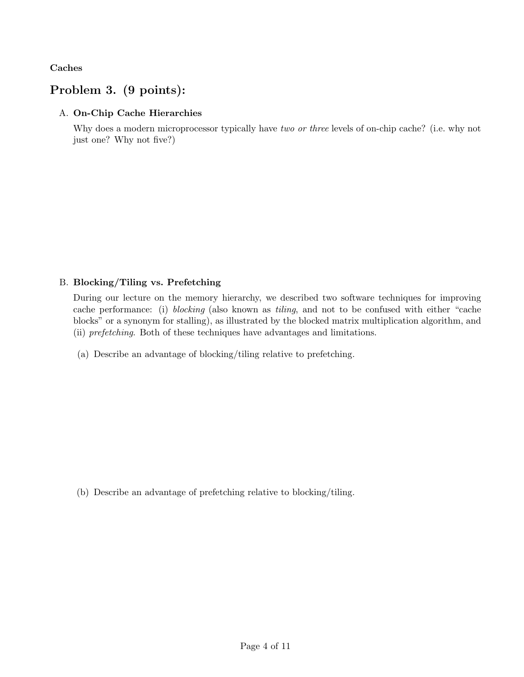Caches

# Problem 3. (9 points):

## A. On-Chip Cache Hierarchies

Why does a modern microprocessor typically have two or three levels of on-chip cache? (i.e. why not just one? Why not five?)

## B. Blocking/Tiling vs. Prefetching

During our lecture on the memory hierarchy, we described two software techniques for improving cache performance: (i) blocking (also known as tiling, and not to be confused with either "cache blocks" or a synonym for stalling), as illustrated by the blocked matrix multiplication algorithm, and (ii) prefetching. Both of these techniques have advantages and limitations.

(a) Describe an advantage of blocking/tiling relative to prefetching.

(b) Describe an advantage of prefetching relative to blocking/tiling.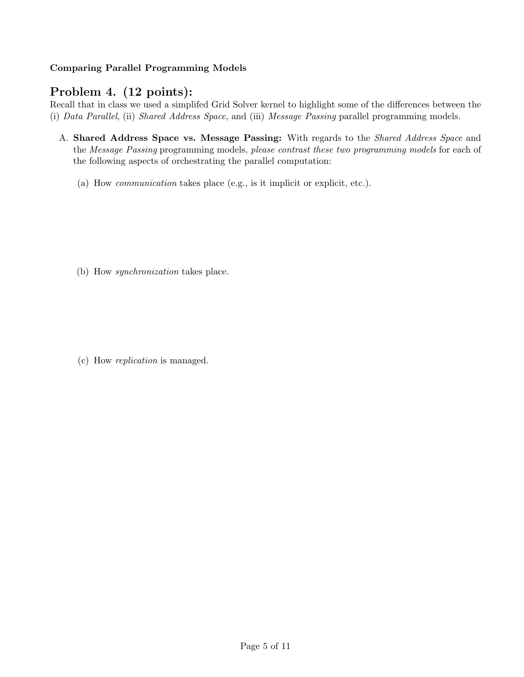## Comparing Parallel Programming Models

# Problem 4. (12 points):

Recall that in class we used a simplifed Grid Solver kernel to highlight some of the differences between the (i) Data Parallel, (ii) Shared Address Space, and (iii) Message Passing parallel programming models.

- A. Shared Address Space vs. Message Passing: With regards to the Shared Address Space and the Message Passing programming models, please contrast these two programming models for each of the following aspects of orchestrating the parallel computation:
	- (a) How communication takes place (e.g., is it implicit or explicit, etc.).

(b) How synchronization takes place.

(c) How replication is managed.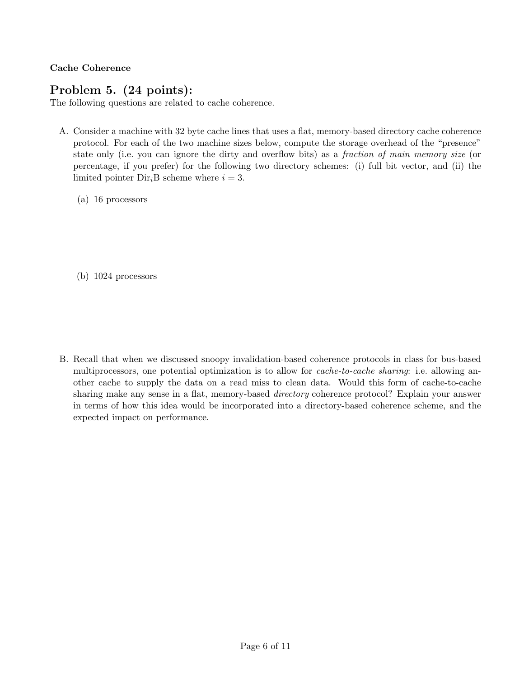Cache Coherence

# Problem 5. (24 points):

The following questions are related to cache coherence.

- A. Consider a machine with 32 byte cache lines that uses a flat, memory-based directory cache coherence protocol. For each of the two machine sizes below, compute the storage overhead of the "presence" state only (i.e. you can ignore the dirty and overflow bits) as a *fraction of main memory size* (or percentage, if you prefer) for the following two directory schemes: (i) full bit vector, and (ii) the limited pointer  $Dir_iB$  scheme where  $i = 3$ .
	- (a) 16 processors
	- (b) 1024 processors

B. Recall that when we discussed snoopy invalidation-based coherence protocols in class for bus-based multiprocessors, one potential optimization is to allow for *cache-to-cache sharing*: i.e. allowing another cache to supply the data on a read miss to clean data. Would this form of cache-to-cache sharing make any sense in a flat, memory-based directory coherence protocol? Explain your answer in terms of how this idea would be incorporated into a directory-based coherence scheme, and the expected impact on performance.